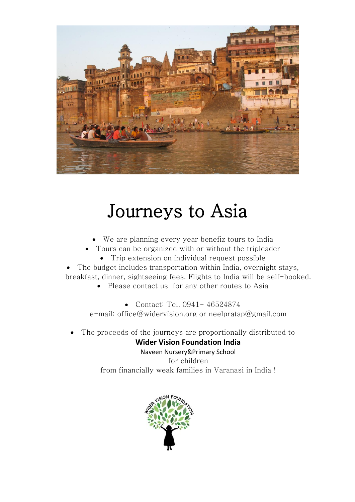

## Journeys to Asia

- We are planning every year benefiz tours to India
- Tours can be organized with or without the tripleader
	- Trip extension on individual request possible

 The budget includes transportation within India, overnight stays, breakfast, dinner, sightseeing fees. Flights to India will be self-booked.

• Please contact us for any other routes to Asia

 Contact: Tel. 0941- 46524874 e-mail: [office@widervision.org](mailto:birgitpratap@gmail.com) or [neelpratap@gmail.com](mailto:neelpratap@gmail.com)

The proceeds of the journeys are proportionally distributed to

## **Wider Vision Foundation India**

Naveen Nursery&Primary School for children from financially weak families in Varanasi in India !

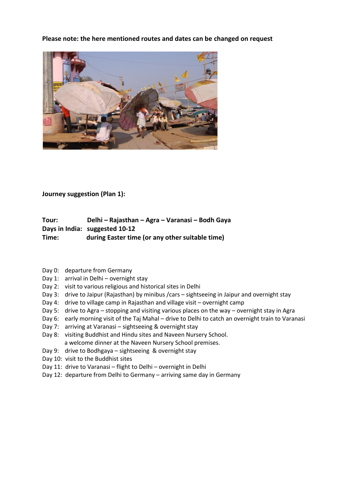**Please note: the here mentioned routes and dates can be changed on request**



**Journey suggestion (Plan 1):**

**Tour: Delhi – Rajasthan – Agra – Varanasi – Bodh Gaya Days in India: suggested 10-12 Time: during Easter time (or any other suitable time)**

- Day 0: departure from Germany
- Day 1: arrival in Delhi overnight stay
- Day 2: visit to various religious and historical sites in Delhi
- Day 3: drive to Jaipur (Rajasthan) by minibus /cars sightseeing in Jaipur and overnight stay
- Day 4: drive to village camp in Rajasthan and village visit overnight camp
- Day 5: drive to Agra stopping and visiting various places on the way overnight stay in Agra
- Day 6: early morning visit of the Taj Mahal drive to Delhi to catch an overnight train to Varanasi
- Day 7: arriving at Varanasi sightseeing & overnight stay
- Day 8: visiting Buddhist and Hindu sites and Naveen Nursery School. a welcome dinner at the Naveen Nursery School premises.
- Day 9: drive to Bodhgaya sightseeing & overnight stay
- Day 10: visit to the Buddhist sites
- Day 11: drive to Varanasi flight to Delhi overnight in Delhi
- Day 12: departure from Delhi to Germany arriving same day in Germany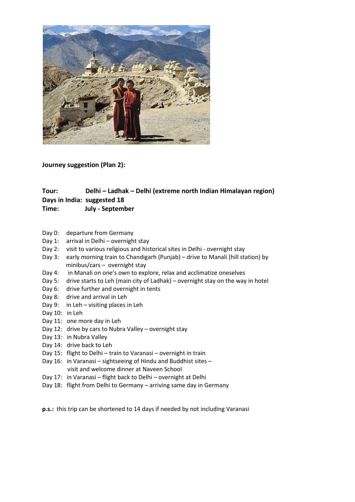

**Journey suggestion (Plan 2):**

## **Tour: Delhi – Ladhak – Delhi (extreme north Indian Himalayan region) Days in India: suggested 18**

- **Time: July - September**
- Day 0: departure from Germany
- Day 1: arrival in Delhi overnight stay
- Day 2: visit to various religious and historical sites in Delhi overnight stay
- Day 3: early morning train to Chandigarh (Punjab) drive to Manali (hill station) by minibus/cars – overnight stay
- Day 4: in Manali on one's own to explore, relax and acclimatize oneselves
- Day 5: drive starts to Leh (main city of Ladhak) overnight stay on the way in hotel
- Day 6: drive further and overnight in tents
- Day 8: drive and arrival in Leh
- Day 9: in Leh visiting places in Leh
- Day 10: in Leh
- Day 11: one more day in Leh
- Day 12: drive by cars to Nubra Valley overnight stay
- Day 13: in Nubra Valley
- Day 14: drive back to Leh
- Day 15: flight to Delhi train to Varanasi overnight in train
- Day 16: in Varanasi sightseeing of Hindu and Buddhist sites visit and welcome dinner at Naveen School
- Day 17: in Varanasi flight back to Delhi overnight at Delhi
- Day 18: flight from Delhi to Germany arriving same day in Germany

**p.s.:** this trip can be shortened to 14 days if needed by not including Varanasi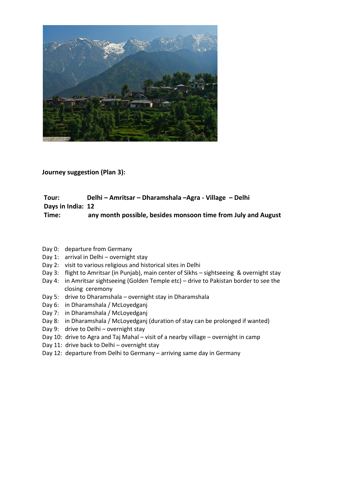

**Journey suggestion (Plan 3):**

## **Tour: Delhi – Amritsar – Dharamshala –Agra - Village – Delhi Days in India: 12 Time: any month possible, besides monsoon time from July and August**

- Day 0: departure from Germany
- Day 1: arrival in Delhi overnight stay
- Day 2: visit to various religious and historical sites in Delhi
- Day 3: flight to Amritsar (in Punjab), main center of Sikhs sightseeing & overnight stay
- Day 4: in Amritsar sightseeing (Golden Temple etc) drive to Pakistan border to see the closing ceremony
- Day 5: drive to Dharamshala overnight stay in Dharamshala
- Day 6: in Dharamshala / McLoyedganj
- Day 7: in Dharamshala / McLoyedganj
- Day 8: in Dharamshala / McLoyedganj (duration of stay can be prolonged if wanted)
- Day 9: drive to Delhi overnight stay
- Day 10: drive to Agra and Taj Mahal visit of a nearby village overnight in camp
- Day 11: drive back to Delhi overnight stay
- Day 12: departure from Delhi to Germany arriving same day in Germany